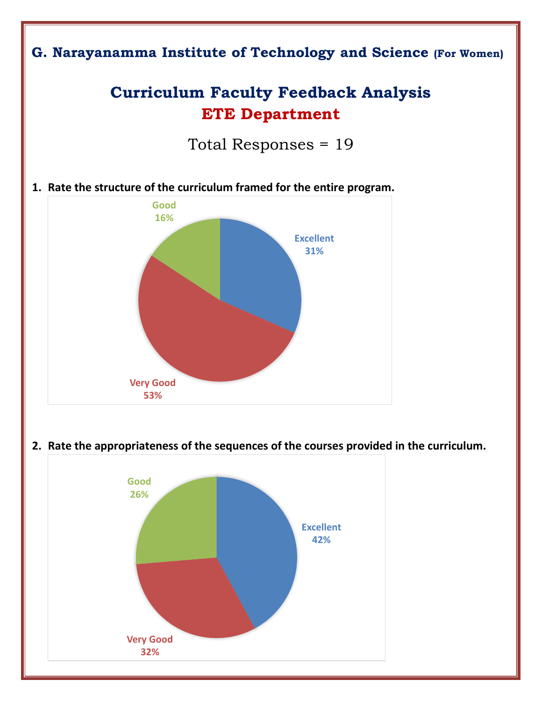

**2. Rate the appropriateness of the sequences of the courses provided in the curriculum.**

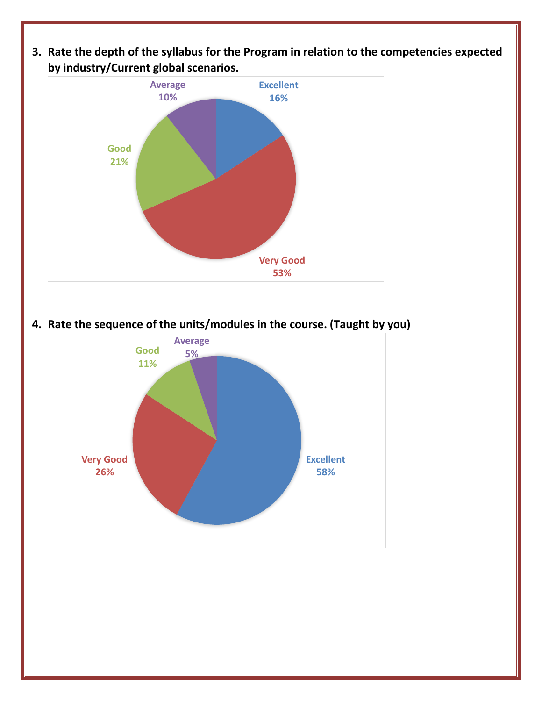**3. Rate the depth of the syllabus for the Program in relation to the competencies expected by industry/Current global scenarios.** 



**4. Rate the sequence of the units/modules in the course. (Taught by you)**

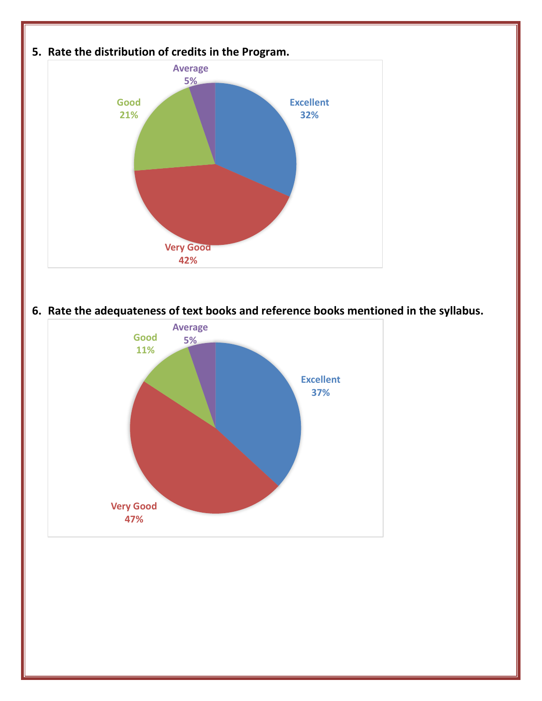

**6. Rate the adequateness of text books and reference books mentioned in the syllabus.**

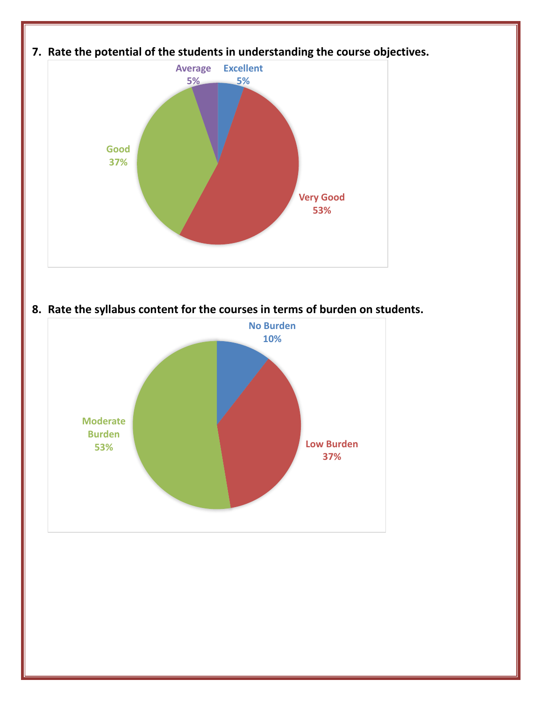

**8. Rate the syllabus content for the courses in terms of burden on students.**

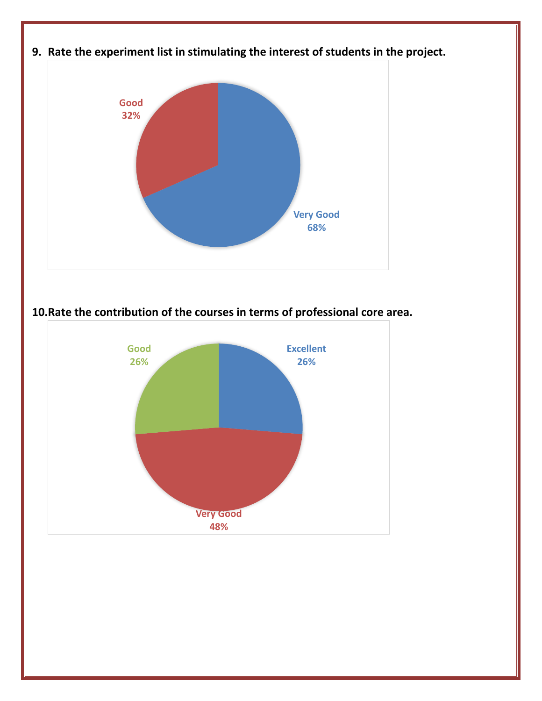